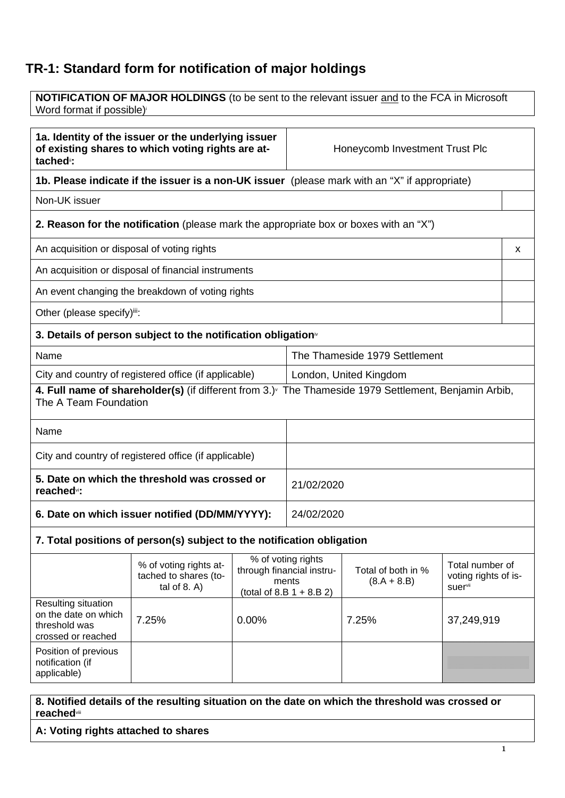## **TR-1: Standard form for notification of major holdings**

| <b>NOTIFICATION OF MAJOR HOLDINGS</b> (to be sent to the relevant issuer and to the FCA in Microsoft<br>Word format if possible) <sup>i</sup> |                                                                                                                                                                                                                 |            |                                         |                                |            |   |
|-----------------------------------------------------------------------------------------------------------------------------------------------|-----------------------------------------------------------------------------------------------------------------------------------------------------------------------------------------------------------------|------------|-----------------------------------------|--------------------------------|------------|---|
|                                                                                                                                               |                                                                                                                                                                                                                 |            |                                         |                                |            |   |
| 1a. Identity of the issuer or the underlying issuer<br>of existing shares to which voting rights are at-<br>tached <sup>"</sup> :             |                                                                                                                                                                                                                 |            |                                         | Honeycomb Investment Trust Plc |            |   |
|                                                                                                                                               | 1b. Please indicate if the issuer is a non-UK issuer (please mark with an "X" if appropriate)                                                                                                                   |            |                                         |                                |            |   |
| Non-UK issuer                                                                                                                                 |                                                                                                                                                                                                                 |            |                                         |                                |            |   |
|                                                                                                                                               | 2. Reason for the notification (please mark the appropriate box or boxes with an "X")                                                                                                                           |            |                                         |                                |            |   |
| An acquisition or disposal of voting rights                                                                                                   |                                                                                                                                                                                                                 |            |                                         |                                |            | x |
|                                                                                                                                               | An acquisition or disposal of financial instruments                                                                                                                                                             |            |                                         |                                |            |   |
|                                                                                                                                               | An event changing the breakdown of voting rights                                                                                                                                                                |            |                                         |                                |            |   |
| Other (please specify)iii:                                                                                                                    |                                                                                                                                                                                                                 |            |                                         |                                |            |   |
|                                                                                                                                               | 3. Details of person subject to the notification obligation <sup>*</sup>                                                                                                                                        |            |                                         |                                |            |   |
| Name                                                                                                                                          |                                                                                                                                                                                                                 |            | The Thameside 1979 Settlement           |                                |            |   |
| City and country of registered office (if applicable)                                                                                         |                                                                                                                                                                                                                 |            | London, United Kingdom                  |                                |            |   |
| 4. Full name of shareholder(s) (if different from 3.) <sup>v</sup> The Thameside 1979 Settlement, Benjamin Arbib,<br>The A Team Foundation    |                                                                                                                                                                                                                 |            |                                         |                                |            |   |
| Name                                                                                                                                          |                                                                                                                                                                                                                 |            |                                         |                                |            |   |
| City and country of registered office (if applicable)                                                                                         |                                                                                                                                                                                                                 |            |                                         |                                |            |   |
| 5. Date on which the threshold was crossed or<br>reached <sup>vi</sup> :                                                                      |                                                                                                                                                                                                                 |            | 21/02/2020                              |                                |            |   |
| 6. Date on which issuer notified (DD/MM/YYYY):                                                                                                |                                                                                                                                                                                                                 | 24/02/2020 |                                         |                                |            |   |
| 7. Total positions of person(s) subject to the notification obligation                                                                        |                                                                                                                                                                                                                 |            |                                         |                                |            |   |
|                                                                                                                                               | % of voting rights<br>% of voting rights at-<br>through financial instru-<br>Total of both in %<br>tached to shares (to-<br>$(8.A + 8.B)$<br>ments<br>tal of $8. A$ )<br>suervii<br>(total of 8.B $1 + 8.B 2$ ) |            | Total number of<br>voting rights of is- |                                |            |   |
| Resulting situation<br>on the date on which<br>threshold was<br>crossed or reached                                                            | 7.25%<br>0.00%                                                                                                                                                                                                  |            |                                         | 7.25%                          | 37,249,919 |   |
| Position of previous<br>notification (if<br>applicable)                                                                                       |                                                                                                                                                                                                                 |            |                                         |                                |            |   |

**8. Notified details of the resulting situation on the date on which the threshold was crossed or reached**viii

**A: Voting rights attached to shares**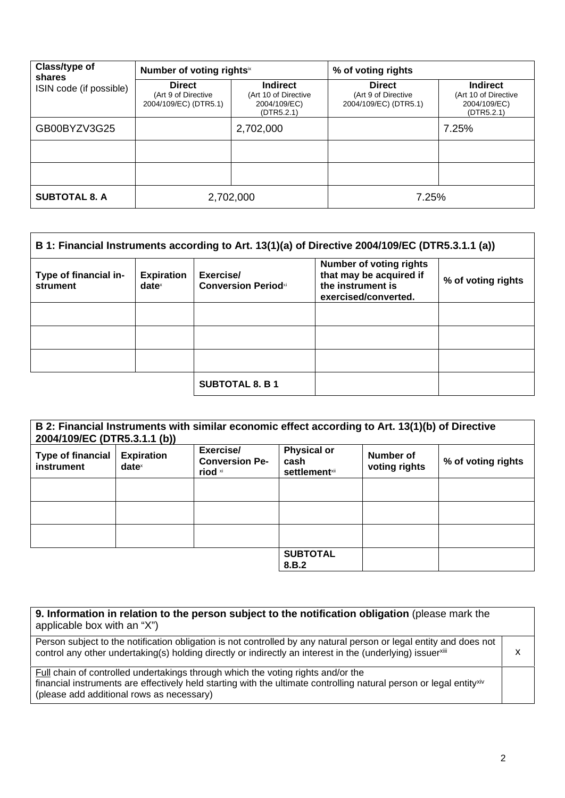| Class/type of<br>shares | Number of voting rightsix                                     |                                                                       | % of voting rights                                            |                                                                       |
|-------------------------|---------------------------------------------------------------|-----------------------------------------------------------------------|---------------------------------------------------------------|-----------------------------------------------------------------------|
| ISIN code (if possible) | <b>Direct</b><br>(Art 9 of Directive<br>2004/109/EC) (DTR5.1) | <b>Indirect</b><br>(Art 10 of Directive<br>2004/109/EC)<br>(DTR5.2.1) | <b>Direct</b><br>(Art 9 of Directive<br>2004/109/EC) (DTR5.1) | <b>Indirect</b><br>(Art 10 of Directive<br>2004/109/EC)<br>(DTR5.2.1) |
| GB00BYZV3G25            |                                                               | 2,702,000                                                             |                                                               | 7.25%                                                                 |
|                         |                                                               |                                                                       |                                                               |                                                                       |
|                         |                                                               |                                                                       |                                                               |                                                                       |
| <b>SUBTOTAL 8. A</b>    | 2,702,000                                                     |                                                                       | 7.25%                                                         |                                                                       |

| B 1: Financial Instruments according to Art. 13(1)(a) of Directive 2004/109/EC (DTR5.3.1.1 (a)) |                               |                                         |                                                                                                        |                    |
|-------------------------------------------------------------------------------------------------|-------------------------------|-----------------------------------------|--------------------------------------------------------------------------------------------------------|--------------------|
| Type of financial in-<br>strument                                                               | <b>Expiration</b><br>$date^x$ | Exercise/<br><b>Conversion Periodxi</b> | <b>Number of voting rights</b><br>that may be acquired if<br>the instrument is<br>exercised/converted. | % of voting rights |
|                                                                                                 |                               |                                         |                                                                                                        |                    |
|                                                                                                 |                               |                                         |                                                                                                        |                    |
|                                                                                                 |                               |                                         |                                                                                                        |                    |
|                                                                                                 |                               | <b>SUBTOTAL 8. B 1</b>                  |                                                                                                        |                    |

| B 2: Financial Instruments with similar economic effect according to Art. 13(1)(b) of Directive<br>2004/109/EC (DTR5.3.1.1 (b)) |                               |                                               |                                                                |                            |                    |
|---------------------------------------------------------------------------------------------------------------------------------|-------------------------------|-----------------------------------------------|----------------------------------------------------------------|----------------------------|--------------------|
| <b>Type of financial</b><br>instrument                                                                                          | <b>Expiration</b><br>$date^x$ | Exercise/<br><b>Conversion Pe-</b><br>riod xi | <b>Physical or</b><br>cash<br><b>settlement</b> <sup>xii</sup> | Number of<br>voting rights | % of voting rights |
|                                                                                                                                 |                               |                                               |                                                                |                            |                    |
|                                                                                                                                 |                               |                                               |                                                                |                            |                    |
|                                                                                                                                 |                               |                                               |                                                                |                            |                    |
|                                                                                                                                 |                               |                                               | <b>SUBTOTAL</b><br>8.B.2                                       |                            |                    |

| 9. Information in relation to the person subject to the notification obligation (please mark the<br>applicable box with an "X")                                                                                                                      |   |
|------------------------------------------------------------------------------------------------------------------------------------------------------------------------------------------------------------------------------------------------------|---|
| Person subject to the notification obligation is not controlled by any natural person or legal entity and does not<br>control any other undertaking(s) holding directly or indirectly an interest in the (underlying) issuerxili                     | х |
| Full chain of controlled undertakings through which the voting rights and/or the<br>financial instruments are effectively held starting with the ultimate controlling natural person or legal entityxiv<br>(please add additional rows as necessary) |   |